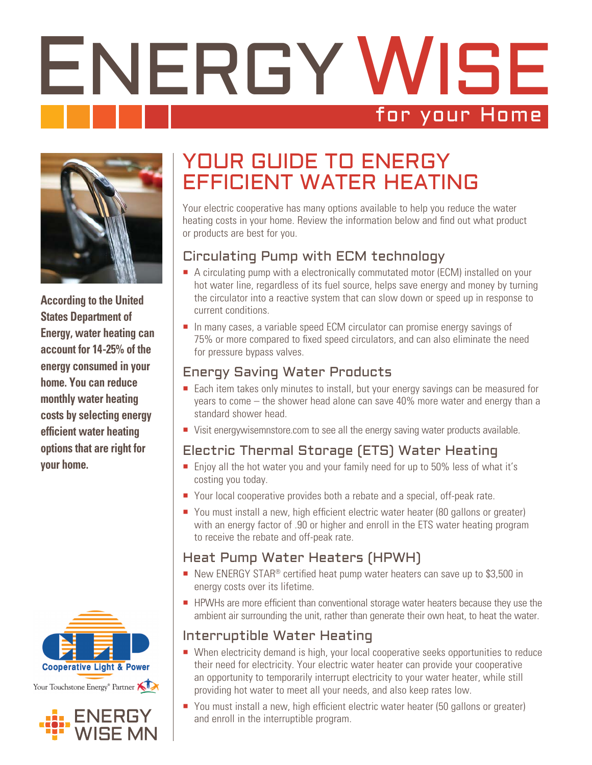# ENERGY WISE for your Home



**According to the United States Department of Energy, water heating can account for 14-25% of the energy consumed in your home. You can reduce monthly water heating costs by selecting energy efficient water heating options that are right for your home.**





## YOUR GUIDE TO ENERGY EFFICIENT WATER HEATING

Your electric cooperative has many options available to help you reduce the water heating costs in your home. Review the information below and find out what product or products are best for you.

#### Circulating Pump with ECM technology

- A circulating pump with a electronically commutated motor (ECM) installed on your hot water line, regardless of its fuel source, helps save energy and money by turning the circulator into a reactive system that can slow down or speed up in response to current conditions.
- In many cases, a variable speed ECM circulator can promise energy savings of 75% or more compared to fixed speed circulators, and can also eliminate the need for pressure bypass valves.

#### Energy Saving Water Products

- Each item takes only minutes to install, but your energy savings can be measured for years to come – the shower head alone can save 40% more water and energy than a standard shower head.
- Visit energywisemnstore.com to see all the energy saving water products available.

### Electric Thermal Storage (ETS) Water Heating

- **Enjoy all the hot water you and your family need for up to 50% less of what it's** costing you today.
- Your local cooperative provides both a rebate and a special, off-peak rate.
- You must install a new, high efficient electric water heater (80 gallons or greater) with an energy factor of .90 or higher and enroll in the ETS water heating program to receive the rebate and off-peak rate.

#### Heat Pump Water Heaters (HPWH)

- New ENERGY STAR<sup>®</sup> certified heat pump water heaters can save up to \$3,500 in energy costs over its lifetime.
- **HPWHs are more efficient than conventional storage water heaters because they use the** ambient air surrounding the unit, rather than generate their own heat, to heat the water.

#### Interruptible Water Heating

- When electricity demand is high, your local cooperative seeks opportunities to reduce their need for electricity. Your electric water heater can provide your cooperative an opportunity to temporarily interrupt electricity to your water heater, while still providing hot water to meet all your needs, and also keep rates low.
- You must install a new, high efficient electric water heater (50 gallons or greater) and enroll in the interruptible program.